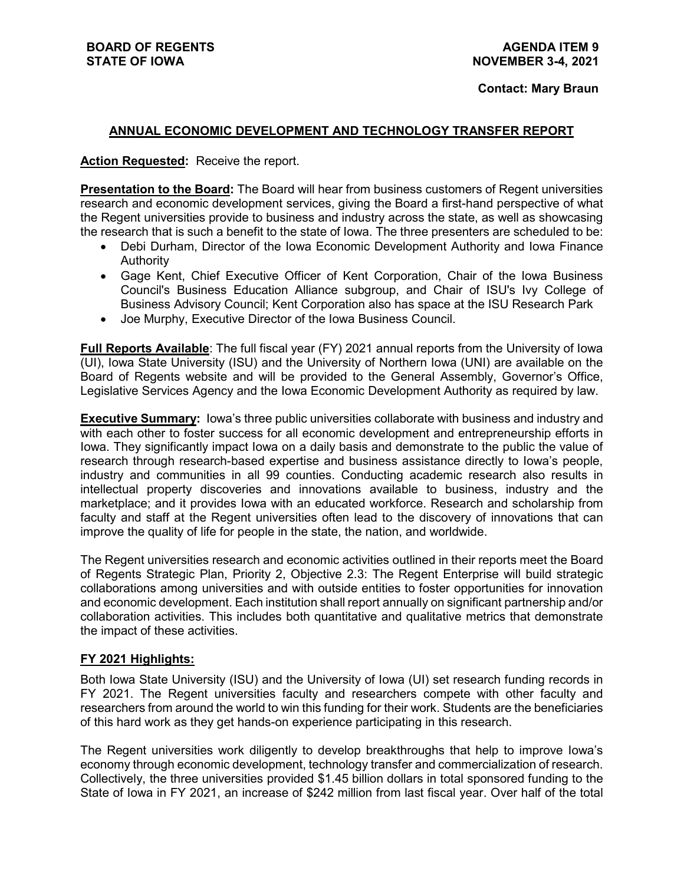#### **Contact: Mary Braun**

### **ANNUAL ECONOMIC DEVELOPMENT AND TECHNOLOGY TRANSFER REPORT**

### **Action Requested:** Receive the report.

**Presentation to the Board:** The Board will hear from business customers of Regent universities research and economic development services, giving the Board a first-hand perspective of what the Regent universities provide to business and industry across the state, as well as showcasing the research that is such a benefit to the state of Iowa. The three presenters are scheduled to be:

- Debi Durham, Director of the Iowa Economic Development Authority and Iowa Finance Authority
- Gage Kent, Chief Executive Officer of Kent Corporation, Chair of the Iowa Business Council's Business Education Alliance subgroup, and Chair of ISU's Ivy College of Business Advisory Council; Kent Corporation also has space at the ISU Research Park
- Joe Murphy, Executive Director of the Iowa Business Council.

**Full Reports Available**: The full fiscal year (FY) 2021 annual reports from the University of Iowa (UI), Iowa State University (ISU) and the University of Northern Iowa (UNI) are available on the Board of Regents website and will be provided to the General Assembly, Governor's Office, Legislative Services Agency and the Iowa Economic Development Authority as required by law.

**Executive Summary:** Iowa's three public universities collaborate with business and industry and with each other to foster success for all economic development and entrepreneurship efforts in Iowa. They significantly impact Iowa on a daily basis and demonstrate to the public the value of research through research-based expertise and business assistance directly to Iowa's people, industry and communities in all 99 counties. Conducting academic research also results in intellectual property discoveries and innovations available to business, industry and the marketplace; and it provides Iowa with an educated workforce. Research and scholarship from faculty and staff at the Regent universities often lead to the discovery of innovations that can improve the quality of life for people in the state, the nation, and worldwide.

The Regent universities research and economic activities outlined in their reports meet the Board of Regents Strategic Plan, Priority 2, Objective 2.3: The Regent Enterprise will build strategic collaborations among universities and with outside entities to foster opportunities for innovation and economic development. Each institution shall report annually on significant partnership and/or collaboration activities. This includes both quantitative and qualitative metrics that demonstrate the impact of these activities.

### **FY 2021 Highlights:**

Both Iowa State University (ISU) and the University of Iowa (UI) set research funding records in FY 2021. The Regent universities faculty and researchers compete with other faculty and researchers from around the world to win this funding for their work. Students are the beneficiaries of this hard work as they get hands-on experience participating in this research.

The Regent universities work diligently to develop breakthroughs that help to improve Iowa's economy through economic development, technology transfer and commercialization of research. Collectively, the three universities provided \$1.45 billion dollars in total sponsored funding to the State of Iowa in FY 2021, an increase of \$242 million from last fiscal year. Over half of the total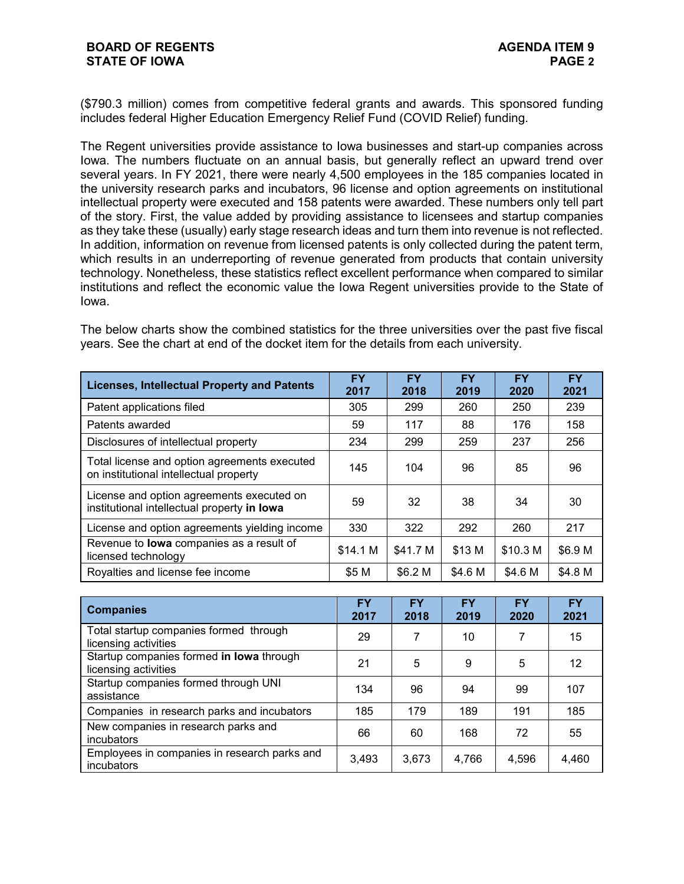(\$790.3 million) comes from competitive federal grants and awards. This sponsored funding includes federal Higher Education Emergency Relief Fund (COVID Relief) funding.

The Regent universities provide assistance to Iowa businesses and start-up companies across Iowa. The numbers fluctuate on an annual basis, but generally reflect an upward trend over several years. In FY 2021, there were nearly 4,500 employees in the 185 companies located in the university research parks and incubators, 96 license and option agreements on institutional intellectual property were executed and 158 patents were awarded. These numbers only tell part of the story. First, the value added by providing assistance to licensees and startup companies as they take these (usually) early stage research ideas and turn them into revenue is not reflected. In addition, information on revenue from licensed patents is only collected during the patent term, which results in an underreporting of revenue generated from products that contain university technology. Nonetheless, these statistics reflect excellent performance when compared to similar institutions and reflect the economic value the Iowa Regent universities provide to the State of Iowa.

The below charts show the combined statistics for the three universities over the past five fiscal years. See the chart at end of the docket item for the details from each university.

| <b>Licenses, Intellectual Property and Patents</b>                                       | <b>FY</b><br>2017 | FY<br>2018 | <b>FY</b><br>2019 | <b>FY</b><br>2020 | <b>FY</b><br>2021 |
|------------------------------------------------------------------------------------------|-------------------|------------|-------------------|-------------------|-------------------|
| Patent applications filed                                                                | 305               | 299        | 260               | 250               | 239               |
| Patents awarded                                                                          | 59                | 117        | 88                | 176               | 158               |
| Disclosures of intellectual property                                                     | 234               | 299        | 259               | 237               | 256               |
| Total license and option agreements executed<br>on institutional intellectual property   | 145               | 104        | 96                | 85                | 96                |
| License and option agreements executed on<br>institutional intellectual property in lowa | 59                | 32         | 38                | 34                | 30                |
| License and option agreements yielding income                                            | 330               | 322        | 292               | 260               | 217               |
| Revenue to lowa companies as a result of<br>licensed technology                          | \$14.1 M          | \$41.7 M   | \$13 M            | \$10.3 M          | \$6.9 M           |
| Royalties and license fee income                                                         | \$5 M             | \$6.2 M    | \$4.6 M           | \$4.6 M           | \$4.8 M           |

| <b>Companies</b>                                                 | FY<br>2017 | <b>FY</b><br>2018 | <b>FY</b><br>2019 | <b>FY</b><br>2020 | <b>FY</b><br>2021 |
|------------------------------------------------------------------|------------|-------------------|-------------------|-------------------|-------------------|
| Total startup companies formed through<br>licensing activities   | 29         | 7                 | 10                |                   | 15                |
| Startup companies formed in lowa through<br>licensing activities | 21         | 5                 | 9                 | 5                 | 12                |
| Startup companies formed through UNI<br>assistance               | 134        | 96                | 94                | 99                | 107               |
| Companies in research parks and incubators                       | 185        | 179               | 189               | 191               | 185               |
| New companies in research parks and<br>incubators                | 66         | 60                | 168               | 72                | 55                |
| Employees in companies in research parks and<br>incubators       | 3,493      | 3,673             | 4,766             | 4,596             | 4,460             |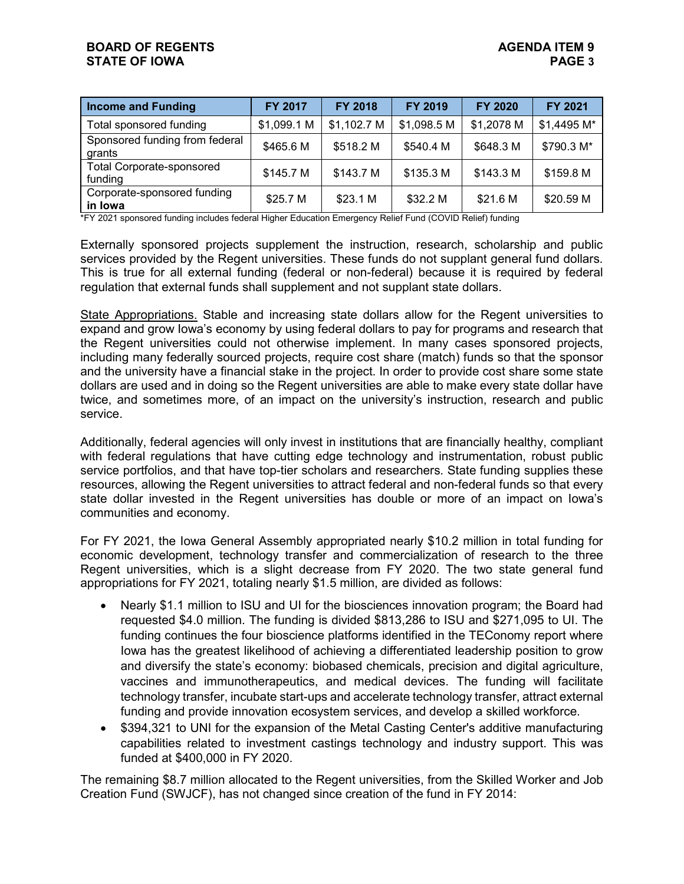| <b>Income and Funding</b>                   | FY 2017     | <b>FY 2018</b> | FY 2019     | <b>FY 2020</b> | <b>FY 2021</b> |
|---------------------------------------------|-------------|----------------|-------------|----------------|----------------|
| Total sponsored funding                     | \$1,099.1 M | \$1,102.7 M    | \$1,098.5 M | \$1,2078 M     | \$1,4495 M*    |
| Sponsored funding from federal<br>grants    | \$465.6 M   | \$518.2 M      | \$540.4 M   | \$648.3 M      | \$790.3 M*     |
| <b>Total Corporate-sponsored</b><br>funding | \$145.7 M   | \$143.7 M      | \$135.3 M   | \$143.3 M      | \$159.8 M      |
| Corporate-sponsored funding<br>in Iowa      | \$25.7 M    | \$23.1 M       | \$32.2 M    | \$21.6 M       | \$20.59 M      |

\*FY 2021 sponsored funding includes federal Higher Education Emergency Relief Fund (COVID Relief) funding

Externally sponsored projects supplement the instruction, research, scholarship and public services provided by the Regent universities. These funds do not supplant general fund dollars. This is true for all external funding (federal or non-federal) because it is required by federal regulation that external funds shall supplement and not supplant state dollars.

State Appropriations. Stable and increasing state dollars allow for the Regent universities to expand and grow Iowa's economy by using federal dollars to pay for programs and research that the Regent universities could not otherwise implement. In many cases sponsored projects, including many federally sourced projects, require cost share (match) funds so that the sponsor and the university have a financial stake in the project. In order to provide cost share some state dollars are used and in doing so the Regent universities are able to make every state dollar have twice, and sometimes more, of an impact on the university's instruction, research and public service.

Additionally, federal agencies will only invest in institutions that are financially healthy, compliant with federal regulations that have cutting edge technology and instrumentation, robust public service portfolios, and that have top-tier scholars and researchers. State funding supplies these resources, allowing the Regent universities to attract federal and non-federal funds so that every state dollar invested in the Regent universities has double or more of an impact on Iowa's communities and economy.

For FY 2021, the Iowa General Assembly appropriated nearly \$10.2 million in total funding for economic development, technology transfer and commercialization of research to the three Regent universities, which is a slight decrease from FY 2020. The two state general fund appropriations for FY 2021, totaling nearly \$1.5 million, are divided as follows:

- Nearly \$1.1 million to ISU and UI for the biosciences innovation program; the Board had requested \$4.0 million. The funding is divided \$813,286 to ISU and \$271,095 to UI. The funding continues the four bioscience platforms identified in the TEConomy report where Iowa has the greatest likelihood of achieving a differentiated leadership position to grow and diversify the state's economy: biobased chemicals, precision and digital agriculture, vaccines and immunotherapeutics, and medical devices. The funding will facilitate technology transfer, incubate start-ups and accelerate technology transfer, attract external funding and provide innovation ecosystem services, and develop a skilled workforce.
- \$394,321 to UNI for the expansion of the Metal Casting Center's additive manufacturing capabilities related to investment castings technology and industry support. This was funded at \$400,000 in FY 2020.

The remaining \$8.7 million allocated to the Regent universities, from the Skilled Worker and Job Creation Fund (SWJCF), has not changed since creation of the fund in FY 2014: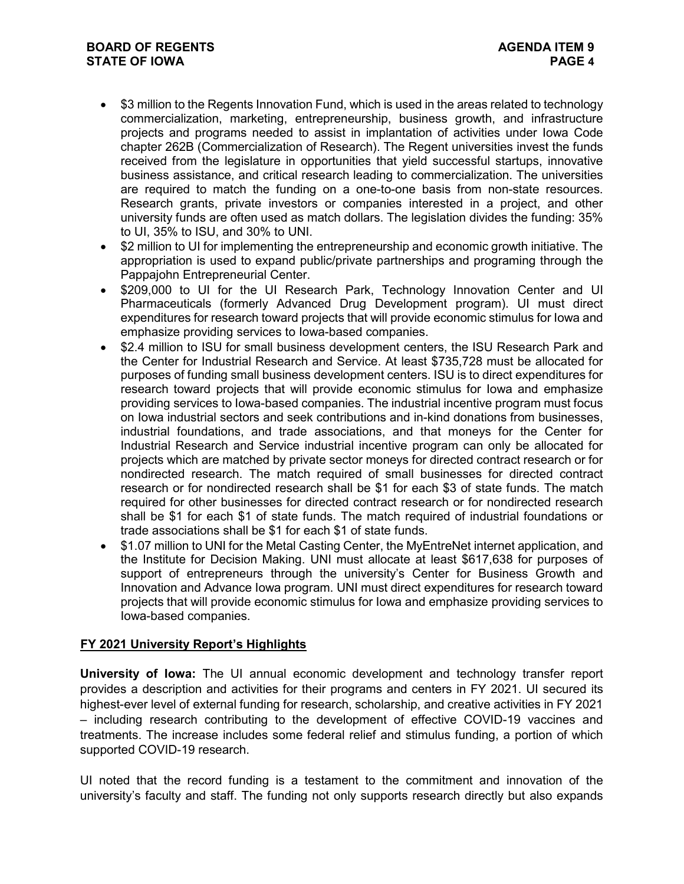- \$3 million to the Regents Innovation Fund, which is used in the areas related to technology commercialization, marketing, entrepreneurship, business growth, and infrastructure projects and programs needed to assist in implantation of activities under Iowa Code chapter 262B (Commercialization of Research). The Regent universities invest the funds received from the legislature in opportunities that yield successful startups, innovative business assistance, and critical research leading to commercialization. The universities are required to match the funding on a one-to-one basis from non-state resources. Research grants, private investors or companies interested in a project, and other university funds are often used as match dollars. The legislation divides the funding: 35% to UI, 35% to ISU, and 30% to UNI.
- \$2 million to UI for implementing the entrepreneurship and economic growth initiative. The appropriation is used to expand public/private partnerships and programing through the Pappajohn Entrepreneurial Center.
- \$209,000 to UI for the UI Research Park, Technology Innovation Center and UI Pharmaceuticals (formerly Advanced Drug Development program). UI must direct expenditures for research toward projects that will provide economic stimulus for Iowa and emphasize providing services to Iowa-based companies.
- \$2.4 million to ISU for small business development centers, the ISU Research Park and the Center for Industrial Research and Service. At least \$735,728 must be allocated for purposes of funding small business development centers. ISU is to direct expenditures for research toward projects that will provide economic stimulus for Iowa and emphasize providing services to Iowa-based companies. The industrial incentive program must focus on Iowa industrial sectors and seek contributions and in-kind donations from businesses, industrial foundations, and trade associations, and that moneys for the Center for Industrial Research and Service industrial incentive program can only be allocated for projects which are matched by private sector moneys for directed contract research or for nondirected research. The match required of small businesses for directed contract research or for nondirected research shall be \$1 for each \$3 of state funds. The match required for other businesses for directed contract research or for nondirected research shall be \$1 for each \$1 of state funds. The match required of industrial foundations or trade associations shall be \$1 for each \$1 of state funds.
- \$1.07 million to UNI for the Metal Casting Center, the MyEntreNet internet application, and the Institute for Decision Making. UNI must allocate at least \$617,638 for purposes of support of entrepreneurs through the university's Center for Business Growth and Innovation and Advance Iowa program. UNI must direct expenditures for research toward projects that will provide economic stimulus for Iowa and emphasize providing services to Iowa-based companies.

# **FY 2021 University Report's Highlights**

**University of Iowa:** The UI annual economic development and technology transfer report provides a description and activities for their programs and centers in FY 2021. UI secured its highest-ever level of external funding for research, scholarship, and creative activities in FY 2021 – including research contributing to the development of effective COVID-19 vaccines and treatments. The increase includes some federal relief and stimulus funding, a portion of which supported COVID-19 research.

UI noted that the record funding is a testament to the commitment and innovation of the university's faculty and staff. The funding not only supports research directly but also expands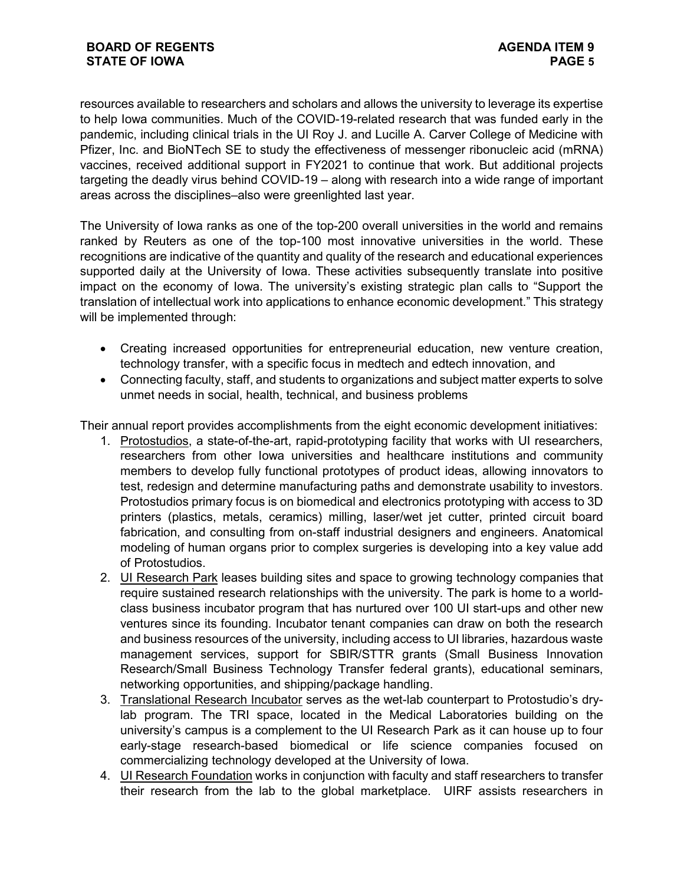resources available to researchers and scholars and allows the university to leverage its expertise to help Iowa communities. Much of the COVID-19-related research that was funded early in the pandemic, including clinical trials in the UI Roy J. and Lucille A. Carver College of Medicine with Pfizer, Inc. and BioNTech SE to study the effectiveness of messenger ribonucleic acid (mRNA) vaccines, received additional support in FY2021 to continue that work. But additional projects targeting the deadly virus behind COVID-19 – along with research into a wide range of important areas across the disciplines–also were greenlighted last year.

The University of Iowa ranks as one of the top-200 overall universities in the world and remains ranked by Reuters as one of the top-100 most innovative universities in the world. These recognitions are indicative of the quantity and quality of the research and educational experiences supported daily at the University of Iowa. These activities subsequently translate into positive impact on the economy of Iowa. The university's existing strategic plan calls to "Support the translation of intellectual work into applications to enhance economic development." This strategy will be implemented through:

- Creating increased opportunities for entrepreneurial education, new venture creation, technology transfer, with a specific focus in medtech and edtech innovation, and
- Connecting faculty, staff, and students to organizations and subject matter experts to solve unmet needs in social, health, technical, and business problems

Their annual report provides accomplishments from the eight economic development initiatives:

- 1. Protostudios, a state-of-the-art, rapid-prototyping facility that works with UI researchers, researchers from other Iowa universities and healthcare institutions and community members to develop fully functional prototypes of product ideas, allowing innovators to test, redesign and determine manufacturing paths and demonstrate usability to investors. Protostudios primary focus is on biomedical and electronics prototyping with access to 3D printers (plastics, metals, ceramics) milling, laser/wet jet cutter, printed circuit board fabrication, and consulting from on-staff industrial designers and engineers. Anatomical modeling of human organs prior to complex surgeries is developing into a key value add of Protostudios.
- 2. UI Research Park leases building sites and space to growing technology companies that require sustained research relationships with the university. The park is home to a worldclass business incubator program that has nurtured over 100 UI start-ups and other new ventures since its founding. Incubator tenant companies can draw on both the research and business resources of the university, including access to UI libraries, hazardous waste management services, support for SBIR/STTR grants (Small Business Innovation Research/Small Business Technology Transfer federal grants), educational seminars, networking opportunities, and shipping/package handling.
- 3. Translational Research Incubator serves as the wet-lab counterpart to Protostudio's drylab program. The TRI space, located in the Medical Laboratories building on the university's campus is a complement to the UI Research Park as it can house up to four early-stage research-based biomedical or life science companies focused on commercializing technology developed at the University of Iowa.
- 4. UI Research Foundation works in conjunction with faculty and staff researchers to transfer their research from the lab to the global marketplace. UIRF assists researchers in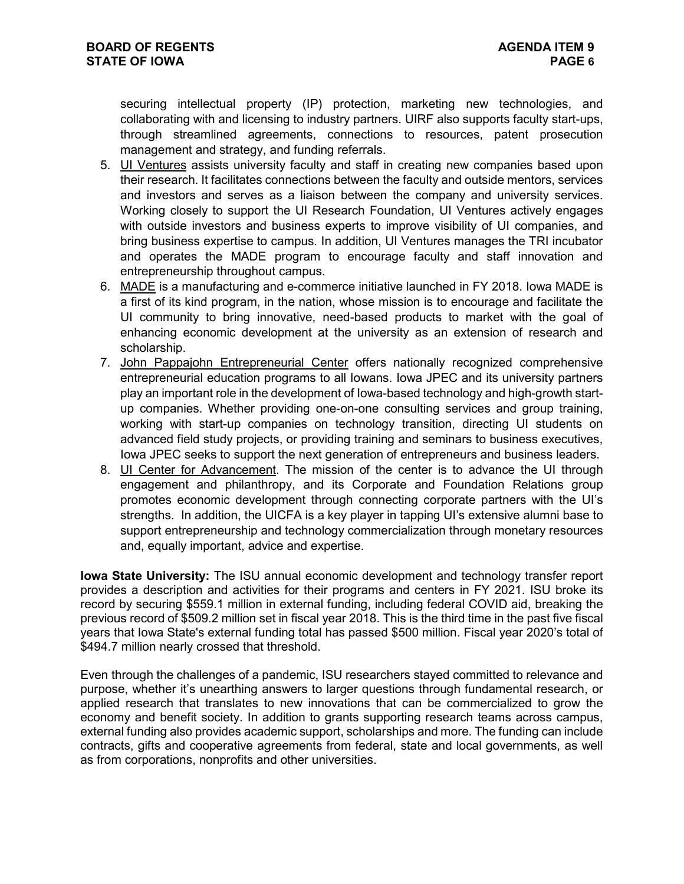securing intellectual property (IP) protection, marketing new technologies, and collaborating with and licensing to industry partners. UIRF also supports faculty start-ups, through streamlined agreements, connections to resources, patent prosecution management and strategy, and funding referrals.

- 5. UI Ventures assists university faculty and staff in creating new companies based upon their research. It facilitates connections between the faculty and outside mentors, services and investors and serves as a liaison between the company and university services. Working closely to support the UI Research Foundation, UI Ventures actively engages with outside investors and business experts to improve visibility of UI companies, and bring business expertise to campus. In addition, UI Ventures manages the TRI incubator and operates the MADE program to encourage faculty and staff innovation and entrepreneurship throughout campus.
- 6. MADE is a manufacturing and e-commerce initiative launched in FY 2018. Iowa MADE is a first of its kind program, in the nation, whose mission is to encourage and facilitate the UI community to bring innovative, need-based products to market with the goal of enhancing economic development at the university as an extension of research and scholarship.
- 7. John Pappajohn Entrepreneurial Center offers nationally recognized comprehensive entrepreneurial education programs to all Iowans. Iowa JPEC and its university partners play an important role in the development of Iowa-based technology and high-growth startup companies. Whether providing one-on-one consulting services and group training, working with start-up companies on technology transition, directing UI students on advanced field study projects, or providing training and seminars to business executives, Iowa JPEC seeks to support the next generation of entrepreneurs and business leaders.
- 8. UI Center for Advancement. The mission of the center is to advance the UI through engagement and philanthropy, and its Corporate and Foundation Relations group promotes economic development through connecting corporate partners with the UI's strengths. In addition, the UICFA is a key player in tapping UI's extensive alumni base to support entrepreneurship and technology commercialization through monetary resources and, equally important, advice and expertise.

**Iowa State University:** The ISU annual economic development and technology transfer report provides a description and activities for their programs and centers in FY 2021. ISU broke its record by securing \$559.1 million in external funding, including federal COVID aid, breaking the previous record of \$509.2 million set in fiscal year 2018. This is the third time in the past five fiscal years that Iowa State's external funding total has passed \$500 million. Fiscal year 2020's total of \$494.7 million nearly crossed that threshold.

Even through the challenges of a pandemic, ISU researchers stayed committed to relevance and purpose, whether it's unearthing answers to larger questions through fundamental research, or applied research that translates to new innovations that can be commercialized to grow the economy and benefit society. In addition to grants supporting research teams across campus, external funding also provides academic support, scholarships and more. The funding can include contracts, gifts and cooperative agreements from federal, state and local governments, as well as from corporations, nonprofits and other universities.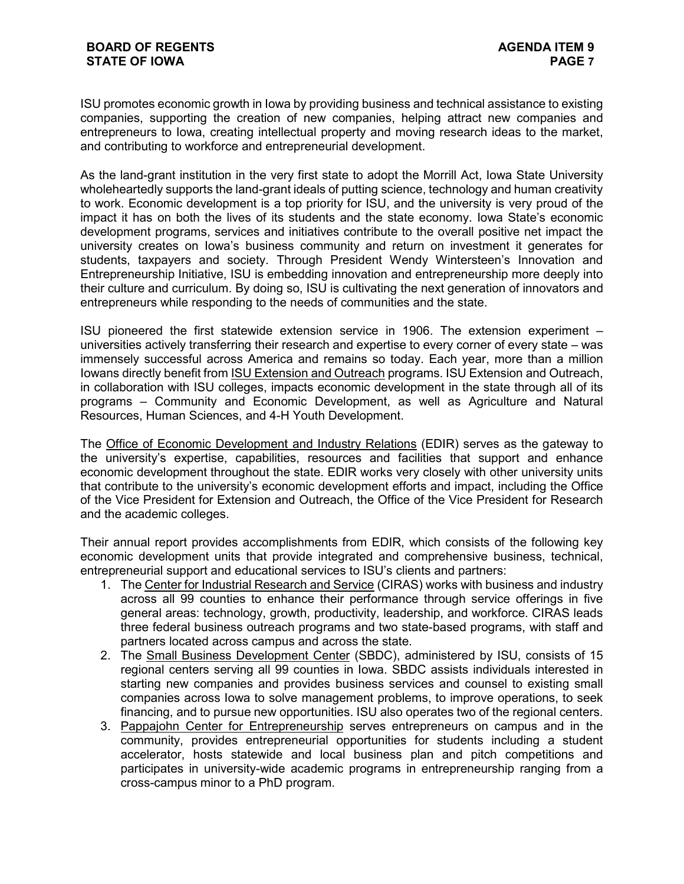ISU promotes economic growth in Iowa by providing business and technical assistance to existing companies, supporting the creation of new companies, helping attract new companies and entrepreneurs to Iowa, creating intellectual property and moving research ideas to the market, and contributing to workforce and entrepreneurial development.

As the land-grant institution in the very first state to adopt the Morrill Act, Iowa State University wholeheartedly supports the land-grant ideals of putting science, technology and human creativity to work. Economic development is a top priority for ISU, and the university is very proud of the impact it has on both the lives of its students and the state economy. Iowa State's economic development programs, services and initiatives contribute to the overall positive net impact the university creates on Iowa's business community and return on investment it generates for students, taxpayers and society. Through President Wendy Wintersteen's Innovation and Entrepreneurship Initiative, ISU is embedding innovation and entrepreneurship more deeply into their culture and curriculum. By doing so, ISU is cultivating the next generation of innovators and entrepreneurs while responding to the needs of communities and the state.

ISU pioneered the first statewide extension service in 1906. The extension experiment – universities actively transferring their research and expertise to every corner of every state – was immensely successful across America and remains so today. Each year, more than a million Iowans directly benefit from ISU Extension and Outreach programs. ISU Extension and Outreach, in collaboration with ISU colleges, impacts economic development in the state through all of its programs – Community and Economic Development, as well as Agriculture and Natural Resources, Human Sciences, and 4-H Youth Development.

The Office of Economic Development and Industry Relations (EDIR) serves as the gateway to the university's expertise, capabilities, resources and facilities that support and enhance economic development throughout the state. EDIR works very closely with other university units that contribute to the university's economic development efforts and impact, including the Office of the Vice President for Extension and Outreach, the Office of the Vice President for Research and the academic colleges.

Their annual report provides accomplishments from EDIR, which consists of the following key economic development units that provide integrated and comprehensive business, technical, entrepreneurial support and educational services to ISU's clients and partners:

- 1. The Center for Industrial Research and Service (CIRAS) works with business and industry across all 99 counties to enhance their performance through service offerings in five general areas: technology, growth, productivity, leadership, and workforce. CIRAS leads three federal business outreach programs and two state-based programs, with staff and partners located across campus and across the state.
- 2. The Small Business Development Center (SBDC), administered by ISU, consists of 15 regional centers serving all 99 counties in Iowa. SBDC assists individuals interested in starting new companies and provides business services and counsel to existing small companies across Iowa to solve management problems, to improve operations, to seek financing, and to pursue new opportunities. ISU also operates two of the regional centers.
- 3. Pappajohn Center for Entrepreneurship serves entrepreneurs on campus and in the community, provides entrepreneurial opportunities for students including a student accelerator, hosts statewide and local business plan and pitch competitions and participates in university-wide academic programs in entrepreneurship ranging from a cross-campus minor to a PhD program.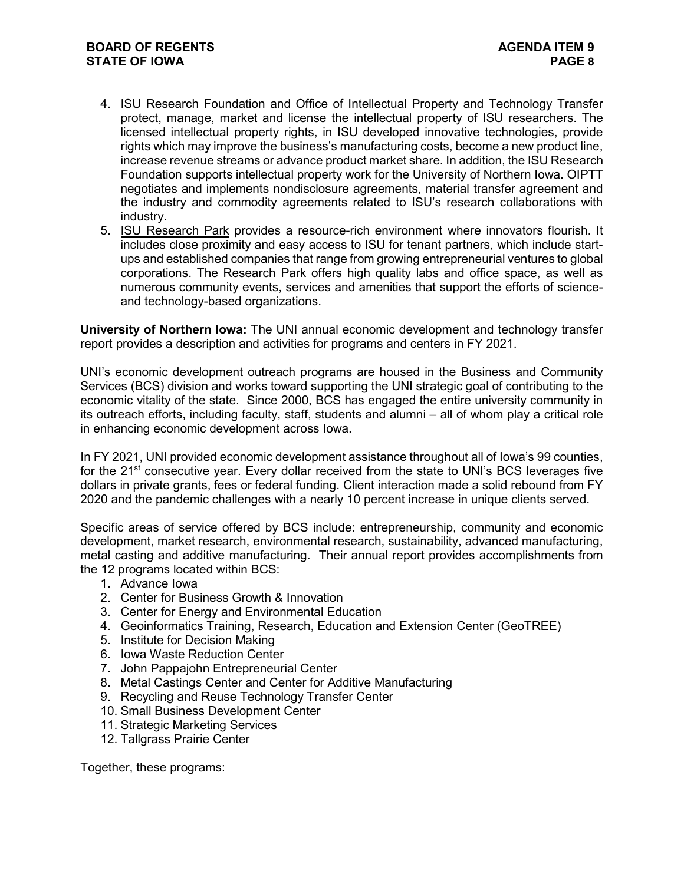- 4. ISU Research Foundation and Office of Intellectual Property and Technology Transfer protect, manage, market and license the intellectual property of ISU researchers. The licensed intellectual property rights, in ISU developed innovative technologies, provide rights which may improve the business's manufacturing costs, become a new product line, increase revenue streams or advance product market share. In addition, the ISU Research Foundation supports intellectual property work for the University of Northern Iowa. OIPTT negotiates and implements nondisclosure agreements, material transfer agreement and the industry and commodity agreements related to ISU's research collaborations with industry.
- 5. ISU Research Park provides a resource-rich environment where innovators flourish. It includes close proximity and easy access to ISU for tenant partners, which include startups and established companies that range from growing entrepreneurial ventures to global corporations. The Research Park offers high quality labs and office space, as well as numerous community events, services and amenities that support the efforts of scienceand technology-based organizations.

**University of Northern Iowa:** The UNI annual economic development and technology transfer report provides a description and activities for programs and centers in FY 2021.

UNI's economic development outreach programs are housed in the Business and Community Services (BCS) division and works toward supporting the UNI strategic goal of contributing to the economic vitality of the state. Since 2000, BCS has engaged the entire university community in its outreach efforts, including faculty, staff, students and alumni – all of whom play a critical role in enhancing economic development across Iowa.

In FY 2021, UNI provided economic development assistance throughout all of Iowa's 99 counties, for the  $21^{st}$  consecutive year. Every dollar received from the state to UNI's BCS leverages five dollars in private grants, fees or federal funding. Client interaction made a solid rebound from FY 2020 and the pandemic challenges with a nearly 10 percent increase in unique clients served.

Specific areas of service offered by BCS include: entrepreneurship, community and economic development, market research, environmental research, sustainability, advanced manufacturing, metal casting and additive manufacturing. Their annual report provides accomplishments from the 12 programs located within BCS:

- 1. Advance Iowa
- 2. Center for Business Growth & Innovation
- 3. Center for Energy and Environmental Education
- 4. Geoinformatics Training, Research, Education and Extension Center (GeoTREE)
- 5. Institute for Decision Making
- 6. Iowa Waste Reduction Center
- 7. John Pappajohn Entrepreneurial Center
- 8. Metal Castings Center and Center for Additive Manufacturing
- 9. Recycling and Reuse Technology Transfer Center
- 10. Small Business Development Center
- 11. Strategic Marketing Services
- 12. Tallgrass Prairie Center

Together, these programs: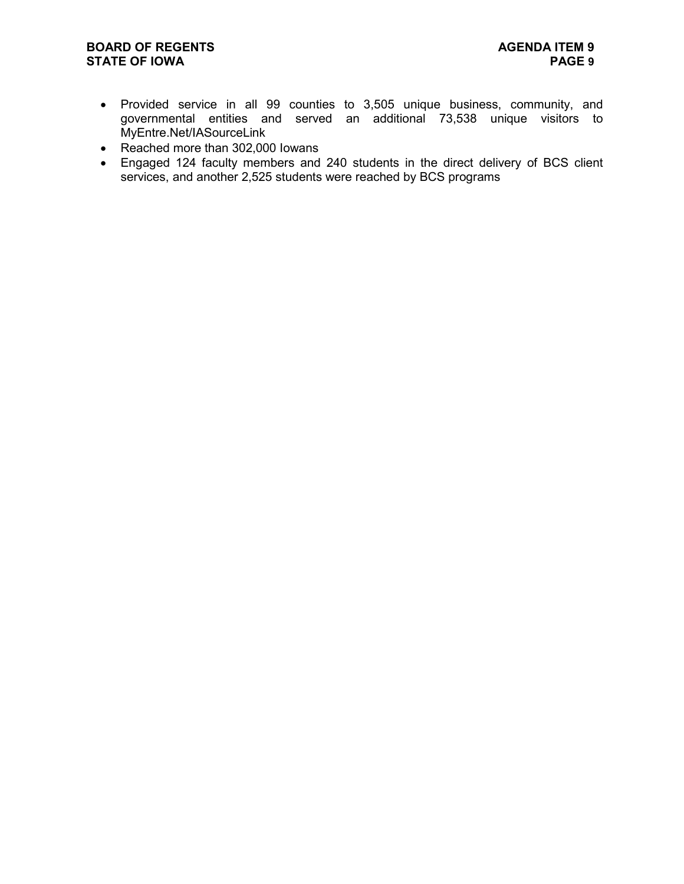- Provided service in all 99 counties to 3,505 unique business, community, and governmental entities and served an additional 73,538 unique visitors to MyEntre.Net/IASourceLink
- Reached more than 302,000 Iowans
- Engaged 124 faculty members and 240 students in the direct delivery of BCS client services, and another 2,525 students were reached by BCS programs